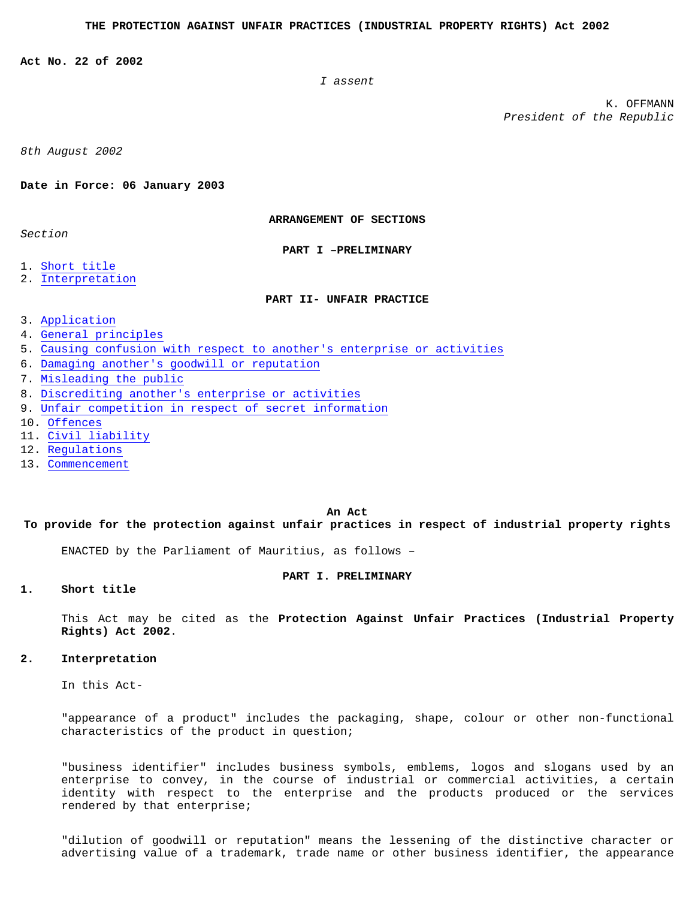<span id="page-0-0"></span>**Act No. 22 of 2002** 

*I assent* 

K. OFFMANN *President of the Republic* 

*8th August 2002* 

## **Date in Force: 06 January 2003**

**ARRANGEMENT OF SECTIONS** 

*Section* 

**PART I –PRELIMINARY** 

- 1. [Short title](#page-0-0)
- 2. [Interpretation](#page-0-0)

# **PART II- UNFAIR PRACTICE**

- 3. [Application](#page-1-0)
- 4. [General principles](#page-1-0)
- 5. [Causing confusion with respect to another's enterprise or activities](#page-1-0)
- 6. [Damaging another's goodwill or reputation](#page-2-0)
- 7. [Misleading the public](#page-2-0)
- 8. [Discrediting another's enterprise or activities](#page-2-0)
- 9. [Unfair competition in respect of secret information](#page-2-0)
- 10. [Offences](#page-3-0)
- 11. [Civil liability](#page-3-0)
- 12. [Regulations](#page-4-0)
- 13. [Commencement](#page-4-0)

#### **An Act**

**To provide for the protection against unfair practices in respect of industrial property rights** 

ENACTED by the Parliament of Mauritius, as follows –

### **PART I. PRELIMINARY**

# **1. Short title**

This Act may be cited as the **Protection Against Unfair Practices (Industrial Property Rights) Act 2002**.

#### **2. Interpretation**

In this Act-

"appearance of a product" includes the packaging, shape, colour or other non-functional characteristics of the product in question;

"business identifier" includes business symbols, emblems, logos and slogans used by an enterprise to convey, in the course of industrial or commercial activities, a certain identity with respect to the enterprise and the products produced or the services rendered by that enterprise;

"dilution of goodwill or reputation" means the lessening of the distinctive character or advertising value of a trademark, trade name or other business identifier, the appearance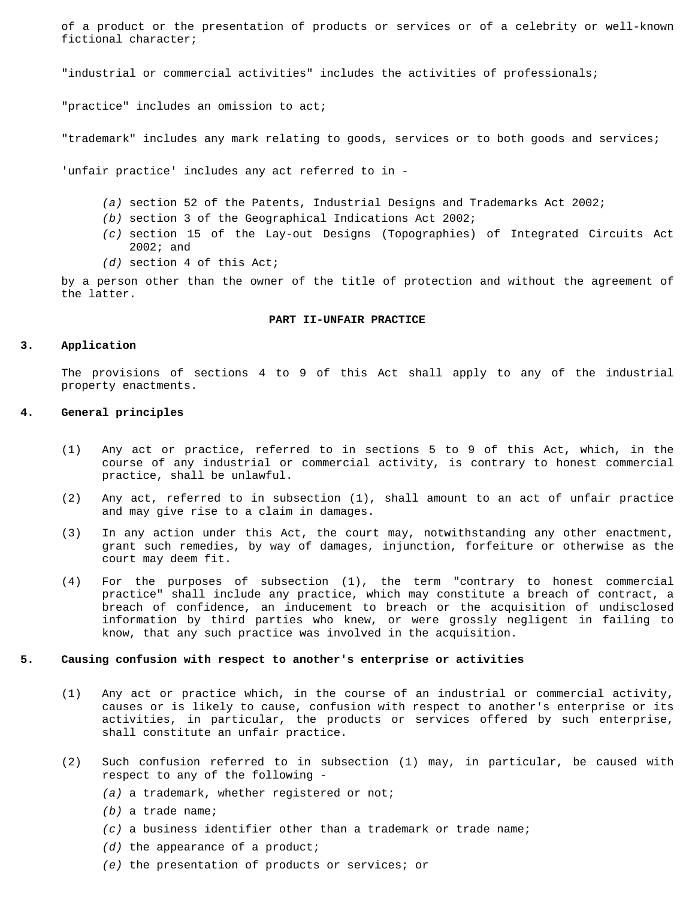<span id="page-1-0"></span>of a product or the presentation of products or services or of a celebrity or well-known fictional character;

"industrial or commercial activities" includes the activities of professionals;

"practice" includes an omission to act;

"trademark" includes any mark relating to goods, services or to both goods and services;

'unfair practice' includes any act referred to in -

- *(a)* section 52 of the Patents, Industrial Designs and Trademarks Act 2002;
- *(b)* section 3 of the Geographical Indications Act 2002;
- *(c)* section 15 of the Lay-out Designs (Topographies) of Integrated Circuits Act 2002; and
- *(d)* section 4 of this Act;

by a person other than the owner of the title of protection and without the agreement of the latter.

#### **PART II-UNFAIR PRACTICE**

### **3. Application**

The provisions of sections 4 to 9 of this Act shall apply to any of the industrial property enactments.

### **4. General principles**

- (1) Any act or practice, referred to in sections 5 to 9 of this Act, which, in the course of any industrial or commercial activity, is contrary to honest commercial practice, shall be unlawful.
- (2) Any act, referred to in subsection (1), shall amount to an act of unfair practice and may give rise to a claim in damages.
- (3) In any action under this Act, the court may, notwithstanding any other enactment, grant such remedies, by way of damages, injunction, forfeiture or otherwise as the court may deem fit.
- (4) For the purposes of subsection (1), the term "contrary to honest commercial practice" shall include any practice, which may constitute a breach of contract, a breach of confidence, an inducement to breach or the acquisition of undisclosed information by third parties who knew, or were grossly negligent in failing to know, that any such practice was involved in the acquisition.

#### **5. Causing confusion with respect to another's enterprise or activities**

- (1) Any act or practice which, in the course of an industrial or commercial activity, causes or is likely to cause, confusion with respect to another's enterprise or its activities, in particular, the products or services offered by such enterprise, shall constitute an unfair practice.
- (2) Such confusion referred to in subsection (1) may, in particular, be caused with respect to any of the following -
	- *(a)* a trademark, whether registered or not;
	- *(b)* a trade name;
	- *(c)* a business identifier other than a trademark or trade name;
	- *(d)* the appearance of a product;
	- *(e)* the presentation of products or services; or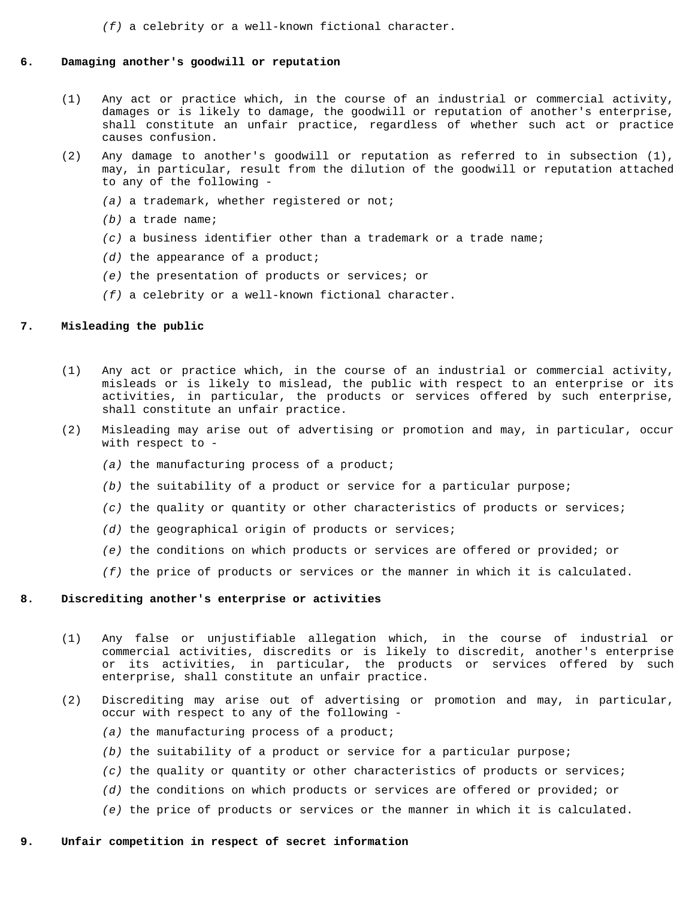*(f)* a celebrity or a well-known fictional character.

#### <span id="page-2-0"></span>**6. Damaging another's goodwill or reputation**

- (1) Any act or practice which, in the course of an industrial or commercial activity, damages or is likely to damage, the goodwill or reputation of another's enterprise, shall constitute an unfair practice, regardless of whether such act or practice causes confusion.
- (2) Any damage to another's goodwill or reputation as referred to in subsection (1), may, in particular, result from the dilution of the goodwill or reputation attached to any of the following -
	- *(a)* a trademark, whether registered or not;
	- *(b)* a trade name;
	- *(c)* a business identifier other than a trademark or a trade name;
	- *(d)* the appearance of a product;
	- *(e)* the presentation of products or services; or
	- *(f)* a celebrity or a well-known fictional character.

# **7. Misleading the public**

- (1) Any act or practice which, in the course of an industrial or commercial activity, misleads or is likely to mislead, the public with respect to an enterprise or its activities, in particular, the products or services offered by such enterprise, shall constitute an unfair practice.
- (2) Misleading may arise out of advertising or promotion and may, in particular, occur with respect to -
	- *(a)* the manufacturing process of a product;
	- *(b)* the suitability of a product or service for a particular purpose;
	- *(c)* the quality or quantity or other characteristics of products or services;
	- *(d)* the geographical origin of products or services;
	- *(e)* the conditions on which products or services are offered or provided; or
	- *(f)* the price of products or services or the manner in which it is calculated.

# **8. Discrediting another's enterprise or activities**

- (1) Any false or unjustifiable allegation which, in the course of industrial or commercial activities, discredits or is likely to discredit, another's enterprise or its activities, in particular, the products or services offered by such enterprise, shall constitute an unfair practice.
- (2) Discrediting may arise out of advertising or promotion and may, in particular, occur with respect to any of the following -
	- *(a)* the manufacturing process of a product;
	- *(b)* the suitability of a product or service for a particular purpose;
	- *(c)* the quality or quantity or other characteristics of products or services;
	- *(d)* the conditions on which products or services are offered or provided; or
	- *(e)* the price of products or services or the manner in which it is calculated.

### **9. Unfair competition in respect of secret information**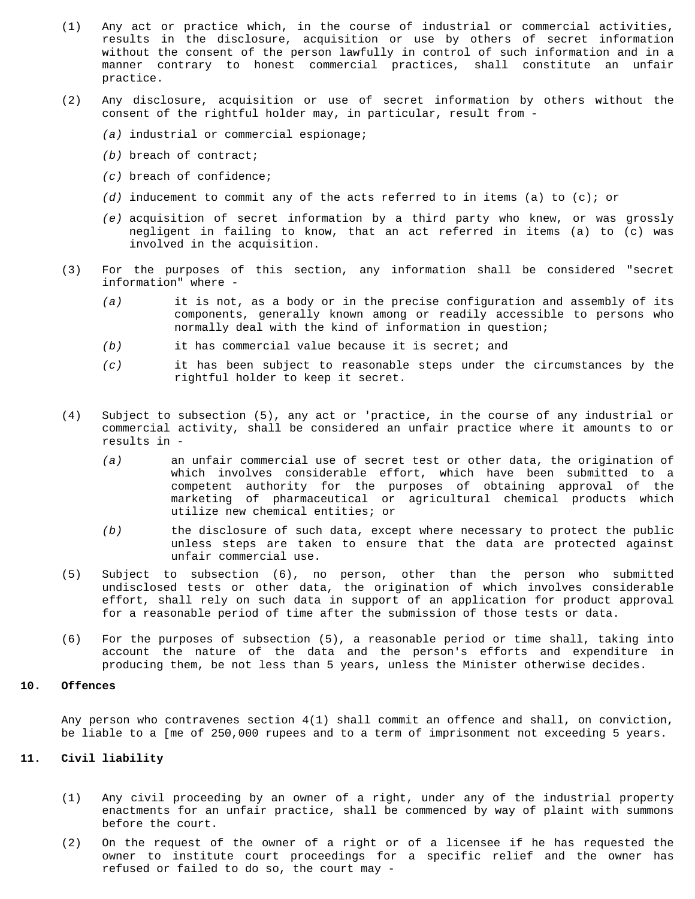- <span id="page-3-0"></span>(1) Any act or practice which, in the course of industrial or commercial activities, results in the disclosure, acquisition or use by others of secret information without the consent of the person lawfully in control of such information and in a manner contrary to honest commercial practices, shall constitute an unfair practice.
- (2) Any disclosure, acquisition or use of secret information by others without the consent of the rightful holder may, in particular, result from -
	- *(a)* industrial or commercial espionage;
	- *(b)* breach of contract;
	- *(c)* breach of confidence;
	- *(d)* inducement to commit any of the acts referred to in items (a) to (c); or
	- *(e)* acquisition of secret information by a third party who knew, or was grossly negligent in failing to know, that an act referred in items (a) to (c) was involved in the acquisition.
- (3) For the purposes of this section, any information shall be considered "secret information" where -
	- *(a)* it is not, as a body or in the precise configuration and assembly of its components, generally known among or readily accessible to persons who normally deal with the kind of information in question;
	- *(b)* it has commercial value because it is secret; and
	- *(c)* it has been subject to reasonable steps under the circumstances by the rightful holder to keep it secret.
- (4) Subject to subsection (5), any act or 'practice, in the course of any industrial or commercial activity, shall be considered an unfair practice where it amounts to or results in -
	- *(a)* an unfair commercial use of secret test or other data, the origination of which involves considerable effort, which have been submitted to a competent authority for the purposes of obtaining approval of the marketing of pharmaceutical or agricultural chemical products which utilize new chemical entities; or
	- *(b)* the disclosure of such data, except where necessary to protect the public unless steps are taken to ensure that the data are protected against unfair commercial use.
- (5) Subject to subsection (6), no person, other than the person who submitted undisclosed tests or other data, the origination of which involves considerable effort, shall rely on such data in support of an application for product approval for a reasonable period of time after the submission of those tests or data.
- (6) For the purposes of subsection (5), a reasonable period or time shall, taking into account the nature of the data and the person's efforts and expenditure in producing them, be not less than 5 years, unless the Minister otherwise decides.

# **10. Offences**

Any person who contravenes section 4(1) shall commit an offence and shall, on conviction, be liable to a [me of 250,000 rupees and to a term of imprisonment not exceeding 5 years.

# **11. Civil liability**

- (1) Any civil proceeding by an owner of a right, under any of the industrial property enactments for an unfair practice, shall be commenced by way of plaint with summons before the court.
- (2) On the request of the owner of a right or of a licensee if he has requested the owner to institute court proceedings for a specific relief and the owner has refused or failed to do so, the court may -